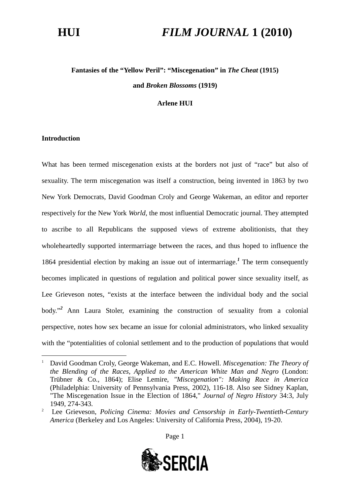# **Fantasies of the "Yellow Peril": "Miscegenation" in** *The Cheat* **(1915) and** *Broken Blossoms* **(1919)**

### **Arlene HUI**

### **Introduction**

What has been termed miscegenation exists at the borders not just of "race" but also of sexuality. The term miscegenation was itself a construction, being invented in 1863 by two New York Democrats, David Goodman Croly and George Wakeman, an editor and reporter respectively for the New York *World*, the most influential Democratic journal. They attempted to ascribe to all Republicans the supposed views of extreme abolitionists, that they wholeheartedly supported intermarriage between the races, and thus hoped to influence the 1864 presidential election by making an issue out of intermarriage.*[1](#page-0-0)* The term consequently becomes implicated in questions of regulation and political power since sexuality itself, as Lee Grieveson notes, "exists at the interface between the individual body and the social body."*[2](#page-0-1)* Ann Laura Stoler, examining the construction of sexuality from a colonial perspective, notes how sex became an issue for colonial administrators, who linked sexuality with the "potentialities of colonial settlement and to the production of populations that would



<span id="page-0-0"></span><sup>1</sup> David Goodman Croly, George Wakeman, and E.C. Howell. *Miscegenation: The Theory of the Blending of the Races, Applied to the American White Man and Negro* (London: Trübner & Co., 1864); Elise Lemire, *"Miscegenation": Making Race in America* (Philadelphia: University of Pennsylvania Press, 2002), 116-18. Also see Sidney Kaplan, "The Miscegenation Issue in the Election of 1864," *Journal of Negro History* 34:3, July 1949, 274-343.

<span id="page-0-1"></span><sup>2</sup> Lee Grieveson, *Policing Cinema: Movies and Censorship in Early-Twentieth-Century America* (Berkeley and Los Angeles: University of California Press, 2004), 19-20.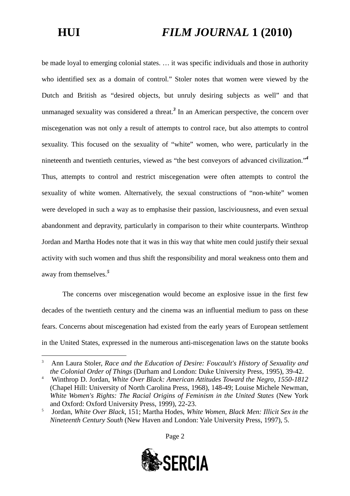be made loyal to emerging colonial states. … it was specific individuals and those in authority who identified sex as a domain of control." Stoler notes that women were viewed by the Dutch and British as "desired objects, but unruly desiring subjects as well" and that unmanaged sexuality was considered a threat.*[3](#page-1-0)* In an American perspective, the concern over miscegenation was not only a result of attempts to control race, but also attempts to control sexuality. This focused on the sexuality of "white" women, who were, particularly in the nineteenth and twentieth centuries, viewed as "the best conveyors of advanced civilization."*[4](#page-1-1)* Thus, attempts to control and restrict miscegenation were often attempts to control the sexuality of white women. Alternatively, the sexual constructions of "non-white" women were developed in such a way as to emphasise their passion, lasciviousness, and even sexual abandonment and depravity, particularly in comparison to their white counterparts. Winthrop Jordan and Martha Hodes note that it was in this way that white men could justify their sexual activity with such women and thus shift the responsibility and moral weakness onto them and away from themselves.*[5](#page-1-2)*

The concerns over miscegenation would become an explosive issue in the first few decades of the twentieth century and the cinema was an influential medium to pass on these fears. Concerns about miscegenation had existed from the early years of European settlement in the United States, expressed in the numerous anti-miscegenation laws on the statute books



<span id="page-1-0"></span><sup>3</sup> Ann Laura Stoler, *Race and the Education of Desire: Foucault's History of Sexuality and the Colonial Order of Things* (Durham and London: Duke University Press, 1995), 39-42.

<span id="page-1-1"></span><sup>4</sup> Winthrop D. Jordan, *White Over Black: American Attitudes Toward the Negro, 1550-1812* (Chapel Hill: University of North Carolina Press, 1968), 148-49; Louise Michele Newman, *White Women's Rights: The Racial Origins of Feminism in the United States* (New York and Oxford: Oxford University Press, 1999), 22-23.

<span id="page-1-2"></span><sup>5</sup> Jordan, *White Over Black*, 151; Martha Hodes, *White Women, Black Men: Illicit Sex in the Nineteenth Century South* (New Haven and London: Yale University Press, 1997), 5.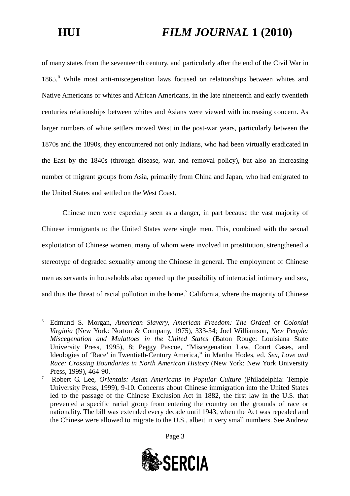of many states from the seventeenth century, and particularly after the end of the Civil War in 1865.[6](#page-2-0) While most anti-miscegenation laws focused on relationships between whites and Native Americans or whites and African Americans, in the late nineteenth and early twentieth centuries relationships between whites and Asians were viewed with increasing concern. As larger numbers of white settlers moved West in the post-war years, particularly between the 1870s and the 1890s, they encountered not only Indians, who had been virtually eradicated in the East by the 1840s (through disease, war, and removal policy), but also an increasing number of migrant groups from Asia, primarily from China and Japan, who had emigrated to the United States and settled on the West Coast.

Chinese men were especially seen as a danger, in part because the vast majority of Chinese immigrants to the United States were single men. This, combined with the sexual exploitation of Chinese women, many of whom were involved in prostitution, strengthened a stereotype of degraded sexuality among the Chinese in general. The employment of Chinese men as servants in households also opened up the possibility of interracial intimacy and sex, and thus the threat of racial pollution in the home.<sup>[7](#page-2-1)</sup> California, where the majority of Chinese

<span id="page-2-1"></span><sup>7</sup> Robert G. Lee, *Orientals: Asian Americans in Popular Culture* (Philadelphia: Temple University Press, 1999), 9-10. Concerns about Chinese immigration into the United States led to the passage of the Chinese Exclusion Act in 1882, the first law in the U.S. that prevented a specific racial group from entering the country on the grounds of race or nationality. The bill was extended every decade until 1943, when the Act was repealed and the Chinese were allowed to migrate to the U.S., albeit in very small numbers. See Andrew





<span id="page-2-0"></span><sup>6</sup> Edmund S. Morgan, *American Slavery, American Freedom: The Ordeal of Colonial Virginia* (New York: Norton & Company, 1975), 333-34; Joel Williamson, *New People: Miscegenation and Mulattoes in the United States* (Baton Rouge: Louisiana State University Press, 1995), 8; Peggy Pascoe, "Miscegenation Law, Court Cases, and Ideologies of 'Race' in Twentieth-Century America," in Martha Hodes, ed. *Sex, Love and Race: Crossing Boundaries in North American History* (New York: New York University Press, 1999), 464-90.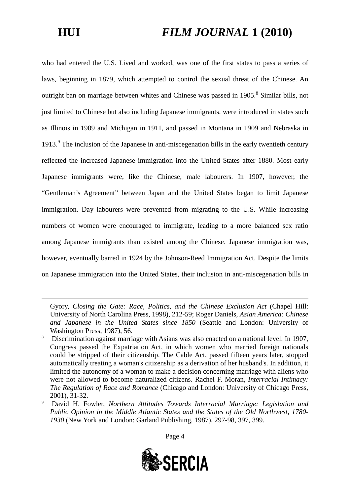who had entered the U.S. Lived and worked, was one of the first states to pass a series of laws, beginning in 1879, which attempted to control the sexual threat of the Chinese. An outright ban on marriage between whites and Chinese was passed in 1905.<sup>[8](#page-3-0)</sup> Similar bills, not just limited to Chinese but also including Japanese immigrants, were introduced in states such as Illinois in 1909 and Michigan in 1911, and passed in Montana in 1909 and Nebraska in 1[9](#page-3-1)13.<sup>9</sup> The inclusion of the Japanese in anti-miscegenation bills in the early twentieth century reflected the increased Japanese immigration into the United States after 1880. Most early Japanese immigrants were, like the Chinese, male labourers. In 1907, however, the "Gentleman's Agreement" between Japan and the United States began to limit Japanese immigration. Day labourers were prevented from migrating to the U.S. While increasing numbers of women were encouraged to immigrate, leading to a more balanced sex ratio among Japanese immigrants than existed among the Chinese. Japanese immigration was, however, eventually barred in 1924 by the Johnson-Reed Immigration Act. Despite the limits on Japanese immigration into the United States, their inclusion in anti-miscegenation bills in

Gyory, *Closing the Gate: Race, Politics, and the Chinese Exclusion Act* (Chapel Hill: University of North Carolina Press, 1998), 212-59; Roger Daniels, *Asian America: Chinese and Japanese in the United States since 1850* (Seattle and London: University of Washington Press, 1987), 56.



<span id="page-3-0"></span><sup>8</sup> Discrimination against marriage with Asians was also enacted on a national level. In 1907, Congress passed the Expatriation Act, in which women who married foreign nationals could be stripped of their citizenship. The Cable Act, passed fifteen years later, stopped automatically treating a woman's citizenship as a derivation of her husband's. In addition, it limited the autonomy of a woman to make a decision concerning marriage with aliens who were not allowed to become naturalized citizens. Rachel F. Moran, *Interracial Intimacy: The Regulation of Race and Romance* (Chicago and London: University of Chicago Press, 2001), 31-32.

<span id="page-3-1"></span><sup>9</sup> David H. Fowler, *Northern Attitudes Towards Interracial Marriage: Legislation and Public Opinion in the Middle Atlantic States and the States of the Old Northwest, 1780- 1930* (New York and London: Garland Publishing, 1987), 297-98, 397, 399.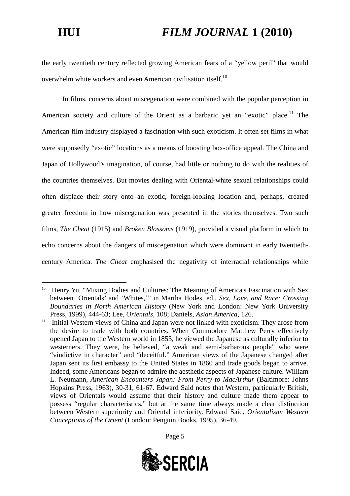the early twentieth century reflected growing American fears of a "yellow peril" that would overwhelm white workers and even American civilisation itself.<sup>[10](#page-4-0)</sup>

In films, concerns about miscegenation were combined with the popular perception in American society and culture of the Orient as a barbaric yet an "exotic" place.<sup>[11](#page-4-1)</sup> The American film industry displayed a fascination with such exoticism. It often set films in what were supposedly "exotic" locations as a means of boosting box-office appeal. The China and Japan of Hollywood's imagination, of course, had little or nothing to do with the realities of the countries themselves. But movies dealing with Oriental-white sexual relationships could often displace their story onto an exotic, foreign-looking location and, perhaps, created greater freedom in how miscegenation was presented in the stories themselves. Two such films, *The Cheat* (1915) and *Broken Blossoms* (1919), provided a visual platform in which to echo concerns about the dangers of miscegenation which were dominant in early twentiethcentury America. *The Cheat* emphasised the negativity of interracial relationships while

<span id="page-4-1"></span><sup>&</sup>lt;sup>11</sup> Initial Western views of China and Japan were not linked with exoticism. They arose from the desire to trade with both countries. When Commodore Matthew Perry effectively opened Japan to the Western world in 1853, he viewed the Japanese as culturally inferior to westerners. They were, he believed, "a weak and semi-barbarous people" who were "vindictive in character" and "deceitful." American views of the Japanese changed after Japan sent its first embassy to the United States in 1860 and trade goods began to arrive. Indeed, some Americans began to admire the aesthetic aspects of Japanese culture. William L. Neumann, *American Encounters Japan: From Perry to MacArthur* (Baltimore: Johns Hopkins Press, 1963), 30-31, 61-67. Edward Said notes that Western, particularly British, views of Orientals would assume that their history and culture made them appear to possess "regular characteristics," but at the same time always made a clear distinction between Western superiority and Oriental inferiority. Edward Said, *Orientalism: Western Conceptions of the Orient* (London: Penguin Books, 1995), 36-49.





<span id="page-4-0"></span><sup>&</sup>lt;sup>10</sup> Henry Yu, "Mixing Bodies and Cultures: The Meaning of America's Fascination with Sex between 'Orientals' and 'Whites,'" in Martha Hodes, ed., *Sex, Love, and Race: Crossing Boundaries in North American History* (New York and London: New York University Press, 1999), 444-63; Lee, *Orientals*, 108; Daniels, *Asian America*, 126.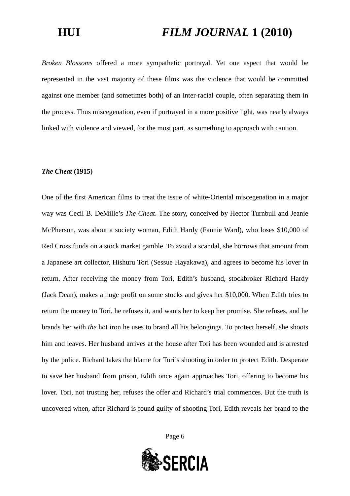*Broken Blossoms* offered a more sympathetic portrayal. Yet one aspect that would be represented in the vast majority of these films was the violence that would be committed against one member (and sometimes both) of an inter-racial couple, often separating them in the process. Thus miscegenation, even if portrayed in a more positive light, was nearly always linked with violence and viewed, for the most part, as something to approach with caution.

### *The Cheat* **(1915)**

One of the first American films to treat the issue of white-Oriental miscegenation in a major way was Cecil B. DeMille's *The Cheat*. The story, conceived by Hector Turnbull and Jeanie McPherson, was about a society woman, Edith Hardy (Fannie Ward), who loses \$10,000 of Red Cross funds on a stock market gamble. To avoid a scandal, she borrows that amount from a Japanese art collector, Hishuru Tori (Sessue Hayakawa), and agrees to become his lover in return. After receiving the money from Tori, Edith's husband, stockbroker Richard Hardy (Jack Dean), makes a huge profit on some stocks and gives her \$10,000. When Edith tries to return the money to Tori, he refuses it, and wants her to keep her promise. She refuses, and he brands her with *the* hot iron he uses to brand all his belongings. To protect herself, she shoots him and leaves. Her husband arrives at the house after Tori has been wounded and is arrested by the police. Richard takes the blame for Tori's shooting in order to protect Edith. Desperate to save her husband from prison, Edith once again approaches Tori, offering to become his lover. Tori, not trusting her, refuses the offer and Richard's trial commences. But the truth is uncovered when, after Richard is found guilty of shooting Tori, Edith reveals her brand to the

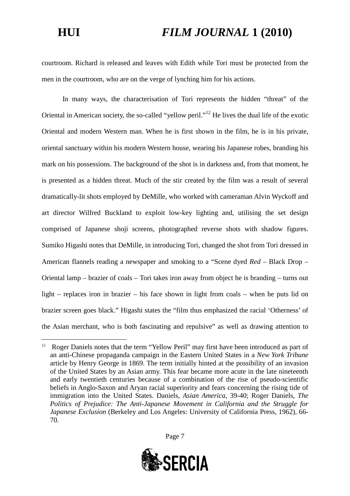courtroom. Richard is released and leaves with Edith while Tori must be protected from the men in the courtroom, who are on the verge of lynching him for his actions.

In many ways, the characterisation of Tori represents the hidden "threat" of the Oriental in American society, the so-called "yellow peril."[12](#page-6-0) He lives the dual life of the exotic Oriental and modern Western man. When he is first shown in the film, he is in his private, oriental sanctuary within his modern Western house, wearing his Japanese robes, branding his mark on his possessions. The background of the shot is in darkness and, from that moment, he is presented as a hidden threat. Much of the stir created by the film was a result of several dramatically-lit shots employed by DeMille, who worked with cameraman Alvin Wyckoff and art director Wilfred Buckland to exploit low-key lighting and, utilising the set design comprised of Japanese shoji screens, photographed reverse shots with shadow figures. Sumiko Higashi notes that DeMille, in introducing Tori, changed the shot from Tori dressed in American flannels reading a newspaper and smoking to a "Scene dyed *Red* – Black Drop – Oriental lamp – brazier of coals – Tori takes iron away from object he is branding – turns out light – replaces iron in brazier – his face shown in light from coals – when he puts lid on brazier screen goes black." Higashi states the "film thus emphasized the racial 'Otherness' of the Asian merchant, who is both fascinating and repulsive" as well as drawing attention to

<span id="page-6-0"></span><sup>&</sup>lt;sup>12</sup> Roger Daniels notes that the term "Yellow Peril" may first have been introduced as part of an anti-Chinese propaganda campaign in the Eastern United States in a *New York Tribune* article by Henry George in 1869. The term initially hinted at the possibility of an invasion of the United States by an Asian army. This fear became more acute in the late nineteenth and early twentieth centuries because of a combination of the rise of pseudo-scientific beliefs in Anglo-Saxon and Aryan racial superiority and fears concerning the rising tide of immigration into the United States. Daniels, *Asian America*, 39-40; Roger Daniels, *The Politics of Prejudice: The Anti-Japanese Movement in California and the Struggle for Japanese Exclusion* (Berkeley and Los Angeles: University of California Press, 1962), 66- 70.

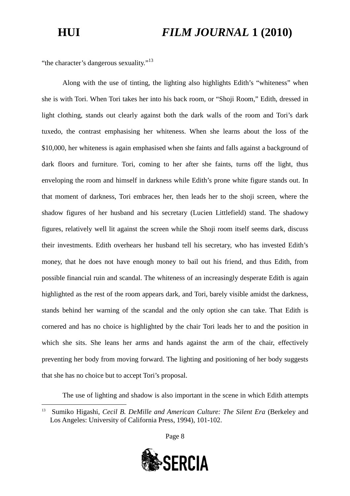"the character's dangerous sexuality."<sup>[13](#page-7-0)</sup>

Along with the use of tinting, the lighting also highlights Edith's "whiteness" when she is with Tori. When Tori takes her into his back room, or "Shoji Room," Edith, dressed in light clothing, stands out clearly against both the dark walls of the room and Tori's dark tuxedo, the contrast emphasising her whiteness. When she learns about the loss of the \$10,000, her whiteness is again emphasised when she faints and falls against a background of dark floors and furniture. Tori, coming to her after she faints, turns off the light, thus enveloping the room and himself in darkness while Edith's prone white figure stands out. In that moment of darkness, Tori embraces her, then leads her to the shoji screen, where the shadow figures of her husband and his secretary (Lucien Littlefield) stand. The shadowy figures, relatively well lit against the screen while the Shoji room itself seems dark, discuss their investments. Edith overhears her husband tell his secretary, who has invested Edith's money, that he does not have enough money to bail out his friend, and thus Edith, from possible financial ruin and scandal. The whiteness of an increasingly desperate Edith is again highlighted as the rest of the room appears dark, and Tori, barely visible amidst the darkness, stands behind her warning of the scandal and the only option she can take. That Edith is cornered and has no choice is highlighted by the chair Tori leads her to and the position in which she sits. She leans her arms and hands against the arm of the chair, effectively preventing her body from moving forward. The lighting and positioning of her body suggests that she has no choice but to accept Tori's proposal.

The use of lighting and shadow is also important in the scene in which Edith attempts



<span id="page-7-0"></span><sup>13</sup> Sumiko Higashi, *Cecil B. DeMille and American Culture: The Silent Era* (Berkeley and Los Angeles: University of California Press, 1994), 101-102.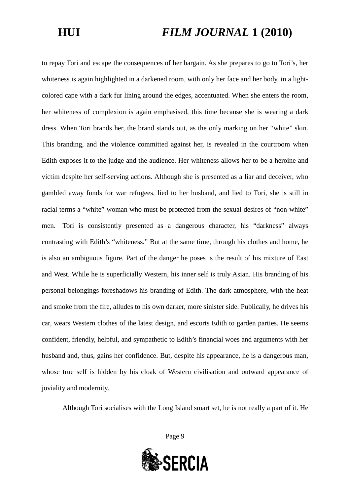to repay Tori and escape the consequences of her bargain. As she prepares to go to Tori's, her whiteness is again highlighted in a darkened room, with only her face and her body, in a lightcolored cape with a dark fur lining around the edges, accentuated. When she enters the room, her whiteness of complexion is again emphasised, this time because she is wearing a dark dress. When Tori brands her, the brand stands out, as the only marking on her "white" skin. This branding, and the violence committed against her, is revealed in the courtroom when Edith exposes it to the judge and the audience. Her whiteness allows her to be a heroine and victim despite her self-serving actions. Although she is presented as a liar and deceiver, who gambled away funds for war refugees, lied to her husband, and lied to Tori, she is still in racial terms a "white" woman who must be protected from the sexual desires of "non-white" men. Tori is consistently presented as a dangerous character, his "darkness" always contrasting with Edith's "whiteness." But at the same time, through his clothes and home, he is also an ambiguous figure. Part of the danger he poses is the result of his mixture of East and West. While he is superficially Western, his inner self is truly Asian. His branding of his personal belongings foreshadows his branding of Edith. The dark atmosphere, with the heat and smoke from the fire, alludes to his own darker, more sinister side. Publically, he drives his car, wears Western clothes of the latest design, and escorts Edith to garden parties. He seems confident, friendly, helpful, and sympathetic to Edith's financial woes and arguments with her husband and, thus, gains her confidence. But, despite his appearance, he is a dangerous man, whose true self is hidden by his cloak of Western civilisation and outward appearance of joviality and modernity.

Although Tori socialises with the Long Island smart set, he is not really a part of it. He

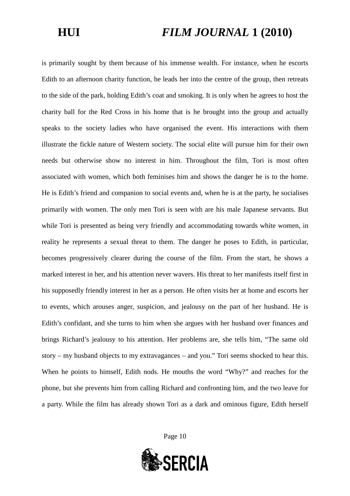is primarily sought by them because of his immense wealth. For instance, when he escorts Edith to an afternoon charity function, he leads her into the centre of the group, then retreats to the side of the park, holding Edith's coat and smoking. It is only when he agrees to host the charity ball for the Red Cross in his home that is he brought into the group and actually speaks to the society ladies who have organised the event. His interactions with them illustrate the fickle nature of Western society. The social elite will pursue him for their own needs but otherwise show no interest in him. Throughout the film, Tori is most often associated with women, which both feminises him and shows the danger he is to the home. He is Edith's friend and companion to social events and, when he is at the party, he socialises primarily with women. The only men Tori is seen with are his male Japanese servants. But while Tori is presented as being very friendly and accommodating towards white women, in reality he represents a sexual threat to them. The danger he poses to Edith, in particular, becomes progressively clearer during the course of the film. From the start, he shows a marked interest in her, and his attention never wavers. His threat to her manifests itself first in his supposedly friendly interest in her as a person. He often visits her at home and escorts her to events, which arouses anger, suspicion, and jealousy on the part of her husband. He is Edith's confidant, and she turns to him when she argues with her husband over finances and brings Richard's jealousy to his attention. Her problems are, she tells him, "The same old story – my husband objects to my extravagances – and you." Tori seems shocked to hear this. When he points to himself, Edith nods. He mouths the word "Why?" and reaches for the phone, but she prevents him from calling Richard and confronting him, and the two leave for a party. While the film has already shown Tori as a dark and ominous figure, Edith herself

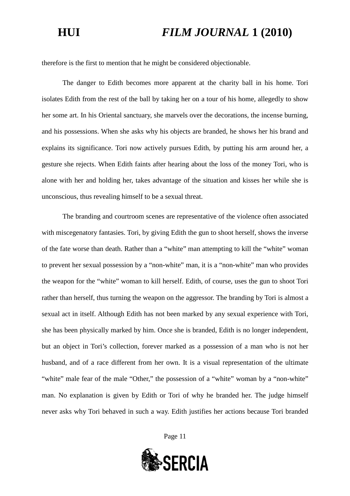therefore is the first to mention that he might be considered objectionable.

The danger to Edith becomes more apparent at the charity ball in his home. Tori isolates Edith from the rest of the ball by taking her on a tour of his home, allegedly to show her some art. In his Oriental sanctuary, she marvels over the decorations, the incense burning, and his possessions. When she asks why his objects are branded, he shows her his brand and explains its significance. Tori now actively pursues Edith, by putting his arm around her, a gesture she rejects. When Edith faints after hearing about the loss of the money Tori, who is alone with her and holding her, takes advantage of the situation and kisses her while she is unconscious, thus revealing himself to be a sexual threat.

The branding and courtroom scenes are representative of the violence often associated with miscegenatory fantasies. Tori, by giving Edith the gun to shoot herself, shows the inverse of the fate worse than death. Rather than a "white" man attempting to kill the "white" woman to prevent her sexual possession by a "non-white" man, it is a "non-white" man who provides the weapon for the "white" woman to kill herself. Edith, of course, uses the gun to shoot Tori rather than herself, thus turning the weapon on the aggressor. The branding by Tori is almost a sexual act in itself. Although Edith has not been marked by any sexual experience with Tori, she has been physically marked by him. Once she is branded, Edith is no longer independent, but an object in Tori's collection, forever marked as a possession of a man who is not her husband, and of a race different from her own. It is a visual representation of the ultimate "white" male fear of the male "Other," the possession of a "white" woman by a "non-white" man. No explanation is given by Edith or Tori of why he branded her. The judge himself never asks why Tori behaved in such a way. Edith justifies her actions because Tori branded

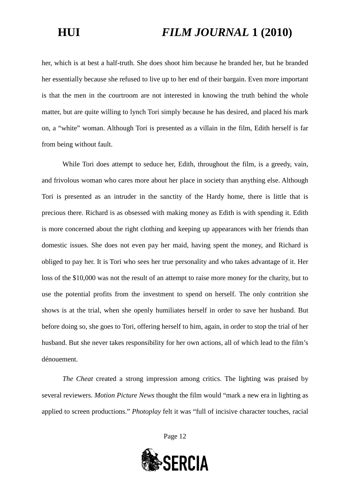her, which is at best a half-truth. She does shoot him because he branded her, but he branded her essentially because she refused to live up to her end of their bargain. Even more important is that the men in the courtroom are not interested in knowing the truth behind the whole matter, but are quite willing to lynch Tori simply because he has desired, and placed his mark on, a "white" woman. Although Tori is presented as a villain in the film, Edith herself is far from being without fault.

While Tori does attempt to seduce her, Edith, throughout the film, is a greedy, vain, and frivolous woman who cares more about her place in society than anything else. Although Tori is presented as an intruder in the sanctity of the Hardy home, there is little that is precious there. Richard is as obsessed with making money as Edith is with spending it. Edith is more concerned about the right clothing and keeping up appearances with her friends than domestic issues. She does not even pay her maid, having spent the money, and Richard is obliged to pay her. It is Tori who sees her true personality and who takes advantage of it. Her loss of the \$10,000 was not the result of an attempt to raise more money for the charity, but to use the potential profits from the investment to spend on herself. The only contrition she shows is at the trial, when she openly humiliates herself in order to save her husband. But before doing so, she goes to Tori, offering herself to him, again, in order to stop the trial of her husband. But she never takes responsibility for her own actions, all of which lead to the film's dénouement.

*The Cheat* created a strong impression among critics. The lighting was praised by several reviewers. *Motion Picture News* thought the film would "mark a new era in lighting as applied to screen productions." *Photoplay* felt it was "full of incisive character touches, racial

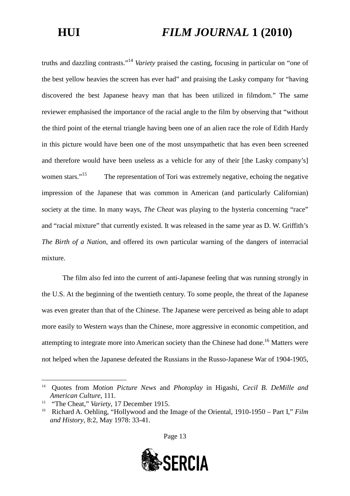truths and dazzling contrasts."[14](#page-12-0) *Variety* praised the casting, focusing in particular on "one of the best yellow heavies the screen has ever had" and praising the Lasky company for "having discovered the best Japanese heavy man that has been utilized in filmdom." The same reviewer emphasised the importance of the racial angle to the film by observing that "without the third point of the eternal triangle having been one of an alien race the role of Edith Hardy in this picture would have been one of the most unsympathetic that has even been screened and therefore would have been useless as a vehicle for any of their [the Lasky company's] women stars."<sup>[15](#page-12-1)</sup> The representation of Tori was extremely negative, echoing the negative impression of the Japanese that was common in American (and particularly Californian) society at the time. In many ways, *The Cheat* was playing to the hysteria concerning "race" and "racial mixture" that currently existed. It was released in the same year as D. W. Griffith's *The Birth of a Nation*, and offered its own particular warning of the dangers of interracial mixture.

The film also fed into the current of anti-Japanese feeling that was running strongly in the U.S. At the beginning of the twentieth century. To some people, the threat of the Japanese was even greater than that of the Chinese. The Japanese were perceived as being able to adapt more easily to Western ways than the Chinese, more aggressive in economic competition, and attempting to integrate more into American society than the Chinese had done.<sup>[16](#page-12-2)</sup> Matters were not helped when the Japanese defeated the Russians in the Russo-Japanese War of 1904-1905,



<span id="page-12-0"></span><sup>14</sup> Quotes from *Motion Picture News* and *Photoplay* in Higashi, *Cecil B. DeMille and American Culture*, 111.

<span id="page-12-1"></span><sup>&</sup>lt;sup>15</sup> "The Cheat," *Variety*, 17 December 1915.

<span id="page-12-2"></span><sup>16</sup> Richard A. Oehling, "Hollywood and the Image of the Oriental, 1910-1950 – Part I," *Film and History*, 8:2, May 1978: 33-41.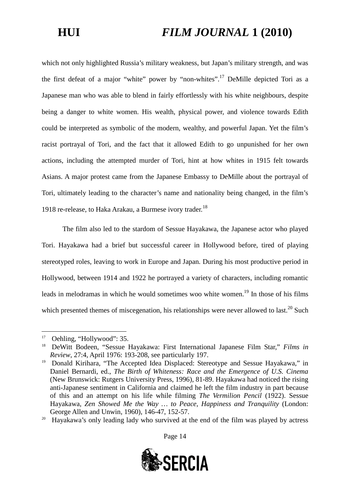which not only highlighted Russia's military weakness, but Japan's military strength, and was the first defeat of a major "white" power by "non-whites[".](#page-13-0)<sup>[17](#page-13-0)</sup> DeMille depicted Tori as a Japanese man who was able to blend in fairly effortlessly with his white neighbours, despite being a danger to white women. His wealth, physical power, and violence towards Edith could be interpreted as symbolic of the modern, wealthy, and powerful Japan. Yet the film's racist portrayal of Tori, and the fact that it allowed Edith to go unpunished for her own actions, including the attempted murder of Tori, hint at how whites in 1915 felt towards Asians. A major protest came from the Japanese Embassy to DeMille about the portrayal of Tori, ultimately leading to the character's name and nationality being changed, in the film's 19[18](#page-13-1) re-release, to Haka Arakau, a Burmese ivory trader.<sup>18</sup>

The film also led to the stardom of Sessue Hayakawa, the Japanese actor who played Tori. Hayakawa had a brief but successful career in Hollywood before, tired of playing stereotyped roles, leaving to work in Europe and Japan. During his most productive period in Hollywood, between 1914 and 1922 he portrayed a variety of characters, including romantic leads in melodramas in which he would sometimes woo white women.<sup>[19](#page-13-2)</sup> In those of his films whichpresented themes of miscegenation, his relationships were never allowed to last[.](#page-13-3)<sup>20</sup> Such

<span id="page-13-3"></span><sup>&</sup>lt;sup>20</sup> Havakawa's only leading lady who survived at the end of the film was played by actress



**SERCIA** 

<span id="page-13-0"></span><sup>&</sup>lt;sup>17</sup> Oehling, "Hollywood": 35.

<span id="page-13-1"></span><sup>18</sup> DeWitt Bodeen, "Sessue Hayakawa: First International Japanese Film Star," *Films in Review*, 27:4, April 1976: 193-208, see particularly 197.

<span id="page-13-2"></span><sup>&</sup>lt;sup>19</sup> Donald Kirihara, "The Accepted Idea Displaced: Stereotype and Sessue Hayakawa," in Daniel Bernardi, ed., *The Birth of Whiteness: Race and the Emergence of U.S. Cinema* (New Brunswick: Rutgers University Press, 1996), 81-89. Hayakawa had noticed the rising anti-Japanese sentiment in California and claimed he left the film industry in part because of this and an attempt on his life while filming *The Vermilion Pencil* (1922). Sessue Hayakawa, *Zen Showed Me the Way … to Peace, Happiness and Tranquility* (London: George Allen and Unwin, 1960), 146-47, 152-57.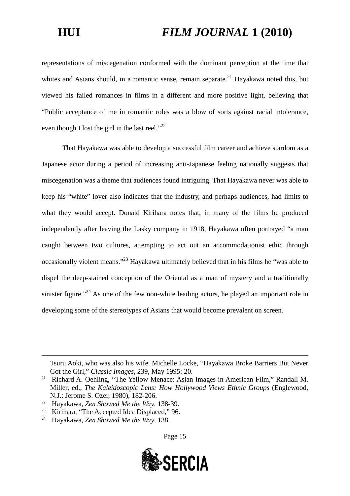representations of miscegenation conformed with the dominant perception at the time that whites and Asians should, in a romantic sense, remain separate.<sup>[21](#page-14-0)</sup> Hayakawa noted this, but viewed his failed romances in films in a different and more positive light, believing that "Public acceptance of me in romantic roles was a blow of sorts against racial intolerance, even though I lost the girl in the last reel."<sup>[22](#page-14-1)</sup>

That Hayakawa was able to develop a successful film career and achieve stardom as a Japanese actor during a period of increasing anti-Japanese feeling nationally suggests that miscegenation was a theme that audiences found intriguing. That Hayakawa never was able to keep his "white" lover also indicates that the industry, and perhaps audiences, had limits to what they would accept. Donald Kirihara notes that, in many of the films he produced independently after leaving the Lasky company in 1918, Hayakawa often portrayed "a man caught between two cultures, attempting to act out an accommodationist ethic through occasionally violent means."[23](#page-14-2) Hayakawa ultimately believed that in his films he "was able to dispel the deep-stained conception of the Oriental as a man of mystery and a traditionally sinister figure."<sup>[24](#page-14-3)</sup> As one of the few non-white leading actors, he played an important role in developing some of the stereotypes of Asians that would become prevalent on screen.

Tsuru Aoki, who was also his wife. Michelle Locke, "Hayakawa Broke Barriers But Never Got the Girl," *Classic Images*, 239, May 1995: 20.



<span id="page-14-0"></span><sup>&</sup>lt;sup>21</sup> Richard A. Oehling, "The Yellow Menace: Asian Images in American Film," Randall M. Miller, ed., *The Kaleidoscopic Lens: How Hollywood Views Ethnic Groups* (Englewood, N.J.: Jerome S. Ozer, 1980), 182-206.

<span id="page-14-2"></span><span id="page-14-1"></span><sup>22</sup> Hayakawa, *Zen Showed Me the Way*, 138-39.

<sup>&</sup>lt;sup>23</sup> Kirihara, "The Accepted Idea Displaced," 96.<br><sup>24</sup> Hoyakawa, Zan Shawed Matha Way, 128.

<span id="page-14-3"></span><sup>24</sup> Hayakawa, *Zen Showed Me the Way*, 138.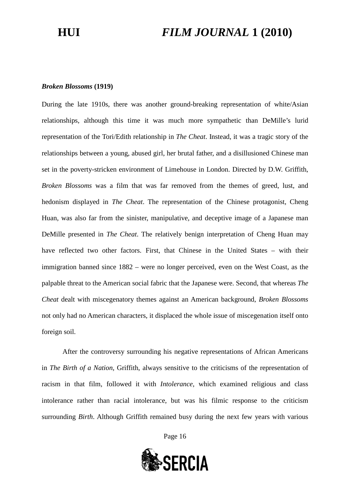### *Broken Blossoms* **(1919)**

During the late 1910s, there was another ground-breaking representation of white/Asian relationships, although this time it was much more sympathetic than DeMille's lurid representation of the Tori/Edith relationship in *The Cheat*. Instead, it was a tragic story of the relationships between a young, abused girl, her brutal father, and a disillusioned Chinese man set in the poverty-stricken environment of Limehouse in London. Directed by D.W. Griffith, *Broken Blossoms* was a film that was far removed from the themes of greed, lust, and hedonism displayed in *The Cheat*. The representation of the Chinese protagonist, Cheng Huan, was also far from the sinister, manipulative, and deceptive image of a Japanese man DeMille presented in *The Cheat*. The relatively benign interpretation of Cheng Huan may have reflected two other factors. First, that Chinese in the United States – with their immigration banned since 1882 – were no longer perceived, even on the West Coast, as the palpable threat to the American social fabric that the Japanese were. Second, that whereas *The Cheat* dealt with miscegenatory themes against an American background, *Broken Blossoms* not only had no American characters, it displaced the whole issue of miscegenation itself onto foreign soil.

After the controversy surrounding his negative representations of African Americans in *The Birth of a Nation*, Griffith, always sensitive to the criticisms of the representation of racism in that film, followed it with *Intolerance*, which examined religious and class intolerance rather than racial intolerance, but was his filmic response to the criticism surrounding *Birth*. Although Griffith remained busy during the next few years with various

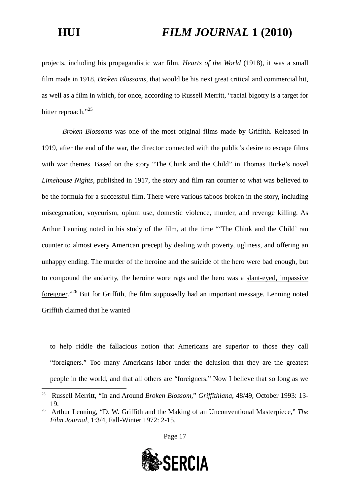projects, including his propagandistic war film, *Hearts of the World* (1918), it was a small film made in 1918, *Broken Blossoms*, that would be his next great critical and commercial hit, as well as a film in which, for once, according to Russell Merritt, "racial bigotry is a target for bitter reproach."<sup>[25](#page-16-0)</sup>

*Broken Blossoms* was one of the most original films made by Griffith. Released in 1919, after the end of the war, the director connected with the public's desire to escape films with war themes. Based on the story "The Chink and the Child" in Thomas Burke's novel *Limehouse Nights*, published in 1917, the story and film ran counter to what was believed to be the formula for a successful film. There were various taboos broken in the story, including miscegenation, voyeurism, opium use, domestic violence, murder, and revenge killing. As Arthur Lenning noted in his study of the film, at the time "'The Chink and the Child' ran counter to almost every American precept by dealing with poverty, ugliness, and offering an unhappy ending. The murder of the heroine and the suicide of the hero were bad enough, but to compound the audacity, the heroine wore rags and the hero was a slant-eyed, impassive foreigner[."](#page-16-1)[26](#page-16-1) But for Griffith, the film supposedly had an important message. Lenning noted Griffith claimed that he wanted

to help riddle the fallacious notion that Americans are superior to those they call "foreigners." Too many Americans labor under the delusion that they are the greatest people in the world, and that all others are "foreigners." Now I believe that so long as we

<span id="page-16-1"></span><sup>&</sup>lt;sup>26</sup> Arthur Lenning, "D. W. Griffith and the Making of an Unconventional Masterpiece," The *Film Journal*, 1:3/4, Fall-Winter 1972: 2-15.





<span id="page-16-0"></span><sup>25</sup> Russell Merritt, "In and Around *Broken Blossom*," *Griffithiana*, 48/49, October 1993: 13- 19.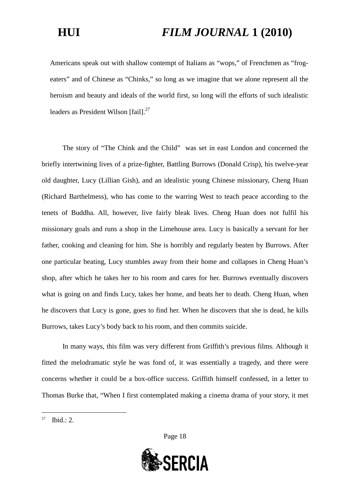Americans speak out with shallow contempt of Italians as "wops," of Frenchmen as "frogeaters" and of Chinese as "Chinks," so long as we imagine that we alone represent all the heroism and beauty and ideals of the world first, so long will the efforts of such idealistic leaders as President Wilson  $[fail].^{27}$  $[fail].^{27}$  $[fail].^{27}$ 

The story of "The Chink and the Child" was set in east London and concerned the briefly intertwining lives of a prize-fighter, Battling Burrows (Donald Crisp), his twelve-year old daughter, Lucy (Lillian Gish), and an idealistic young Chinese missionary, Cheng Huan (Richard Barthelmess), who has come to the warring West to teach peace according to the tenets of Buddha. All, however, live fairly bleak lives. Cheng Huan does not fulfil his missionary goals and runs a shop in the Limehouse area. Lucy is basically a servant for her father, cooking and cleaning for him. She is horribly and regularly beaten by Burrows. After one particular beating, Lucy stumbles away from their home and collapses in Cheng Huan's shop, after which he takes her to his room and cares for her. Burrows eventually discovers what is going on and finds Lucy, takes her home, and beats her to death. Cheng Huan, when he discovers that Lucy is gone, goes to find her. When he discovers that she is dead, he kills Burrows, takes Lucy's body back to his room, and then commits suicide.

In many ways, this film was very different from Griffith's previous films. Although it fitted the melodramatic style he was fond of, it was essentially a tragedy, and there were concerns whether it could be a box-office success. Griffith himself confessed, in a letter to Thomas Burke that, "When I first contemplated making a cinema drama of your story, it met



<span id="page-17-0"></span> $27$  Ibid.: 2.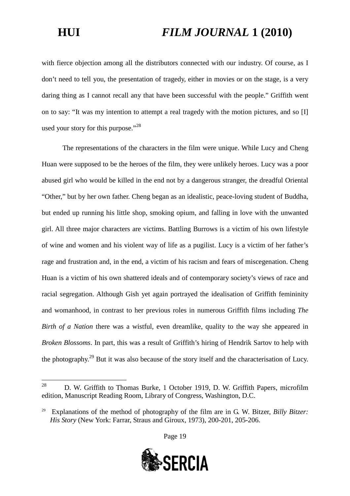with fierce objection among all the distributors connected with our industry. Of course, as I don't need to tell you, the presentation of tragedy, either in movies or on the stage, is a very daring thing as I cannot recall any that have been successful with the people." Griffith went on to say: "It was my intention to attempt a real tragedy with the motion pictures, and so [I] used your story for this purpose."<sup>[28](#page-18-0)</sup>

The representations of the characters in the film were unique. While Lucy and Cheng Huan were supposed to be the heroes of the film, they were unlikely heroes. Lucy was a poor abused girl who would be killed in the end not by a dangerous stranger, the dreadful Oriental "Other," but by her own father. Cheng began as an idealistic, peace-loving student of Buddha, but ended up running his little shop, smoking opium, and falling in love with the unwanted girl. All three major characters are victims. Battling Burrows is a victim of his own lifestyle of wine and women and his violent way of life as a pugilist. Lucy is a victim of her father's rage and frustration and, in the end, a victim of his racism and fears of miscegenation. Cheng Huan is a victim of his own shattered ideals and of contemporary society's views of race and racial segregation. Although Gish yet again portrayed the idealisation of Griffith femininity and womanhood, in contrast to her previous roles in numerous Griffith films including *The Birth of a Nation* there was a wistful, even dreamlike, quality to the way she appeared in *Broken Blossoms*. In part, this was a result of Griffith's hiring of Hendrik Sartov to help with the photography.[29](#page-18-1) But it was also because of the story itself and the characterisation of Lucy.



<span id="page-18-0"></span><sup>&</sup>lt;sup>28</sup> D. W. Griffith to Thomas Burke, 1 October 1919, D. W. Griffith Papers, microfilm edition, Manuscript Reading Room, Library of Congress, Washington, D.C.

<span id="page-18-1"></span><sup>29</sup> Explanations of the method of photography of the film are in G. W. Bitzer, *Billy Bitzer: His Story* (New York: Farrar, Straus and Giroux, 1973), 200-201, 205-206.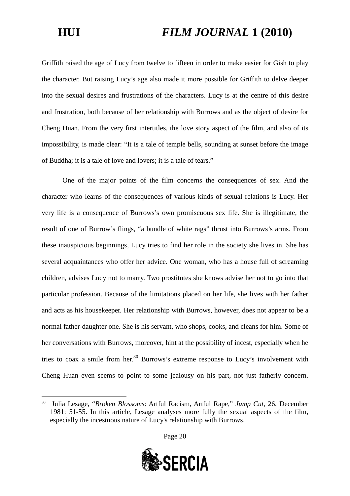Griffith raised the age of Lucy from twelve to fifteen in order to make easier for Gish to play the character. But raising Lucy's age also made it more possible for Griffith to delve deeper into the sexual desires and frustrations of the characters. Lucy is at the centre of this desire and frustration, both because of her relationship with Burrows and as the object of desire for Cheng Huan. From the very first intertitles, the love story aspect of the film, and also of its impossibility, is made clear: "It is a tale of temple bells, sounding at sunset before the image of Buddha; it is a tale of love and lovers; it is a tale of tears."

One of the major points of the film concerns the consequences of sex. And the character who learns of the consequences of various kinds of sexual relations is Lucy. Her very life is a consequence of Burrows's own promiscuous sex life. She is illegitimate, the result of one of Burrow's flings, "a bundle of white rags" thrust into Burrows's arms. From these inauspicious beginnings, Lucy tries to find her role in the society she lives in. She has several acquaintances who offer her advice. One woman, who has a house full of screaming children, advises Lucy not to marry. Two prostitutes she knows advise her not to go into that particular profession. Because of the limitations placed on her life, she lives with her father and acts as his housekeeper. Her relationship with Burrows, however, does not appear to be a normal father-daughter one. She is his servant, who shops, cooks, and cleans for him. Some of her conversations with Burrows, moreover, hint at the possibility of incest, especially when he tries to coax a smile from her.<sup>[30](#page-19-0)</sup> Burrows's extreme response to Lucy's involvement with Cheng Huan even seems to point to some jealousy on his part, not just fatherly concern.

<span id="page-19-0"></span><sup>30</sup> Julia Lesage, "*Broken Blossoms*: Artful Racism, Artful Rape," *Jump Cut*, 26, December 1981: 51-55. In this article, Lesage analyses more fully the sexual aspects of the film, especially the incestuous nature of Lucy's relationship with Burrows.



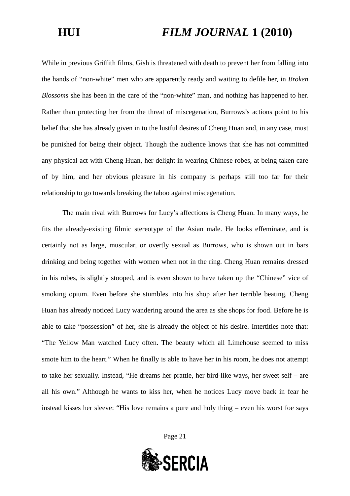While in previous Griffith films, Gish is threatened with death to prevent her from falling into the hands of "non-white" men who are apparently ready and waiting to defile her, in *Broken Blossoms* she has been in the care of the "non-white" man, and nothing has happened to her. Rather than protecting her from the threat of miscegenation, Burrows's actions point to his belief that she has already given in to the lustful desires of Cheng Huan and, in any case, must be punished for being their object. Though the audience knows that she has not committed any physical act with Cheng Huan, her delight in wearing Chinese robes, at being taken care of by him, and her obvious pleasure in his company is perhaps still too far for their relationship to go towards breaking the taboo against miscegenation.

The main rival with Burrows for Lucy's affections is Cheng Huan. In many ways, he fits the already-existing filmic stereotype of the Asian male. He looks effeminate, and is certainly not as large, muscular, or overtly sexual as Burrows, who is shown out in bars drinking and being together with women when not in the ring. Cheng Huan remains dressed in his robes, is slightly stooped, and is even shown to have taken up the "Chinese" vice of smoking opium. Even before she stumbles into his shop after her terrible beating, Cheng Huan has already noticed Lucy wandering around the area as she shops for food. Before he is able to take "possession" of her, she is already the object of his desire. Intertitles note that: "The Yellow Man watched Lucy often. The beauty which all Limehouse seemed to miss smote him to the heart." When he finally is able to have her in his room, he does not attempt to take her sexually. Instead, "He dreams her prattle, her bird-like ways, her sweet self – are all his own." Although he wants to kiss her, when he notices Lucy move back in fear he instead kisses her sleeve: "His love remains a pure and holy thing – even his worst foe says

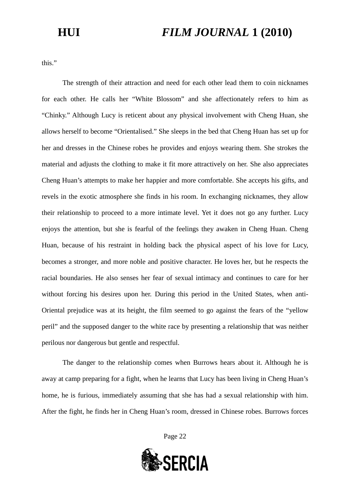this."

The strength of their attraction and need for each other lead them to coin nicknames for each other. He calls her "White Blossom" and she affectionately refers to him as "Chinky." Although Lucy is reticent about any physical involvement with Cheng Huan, she allows herself to become "Orientalised." She sleeps in the bed that Cheng Huan has set up for her and dresses in the Chinese robes he provides and enjoys wearing them. She strokes the material and adjusts the clothing to make it fit more attractively on her. She also appreciates Cheng Huan's attempts to make her happier and more comfortable. She accepts his gifts, and revels in the exotic atmosphere she finds in his room. In exchanging nicknames, they allow their relationship to proceed to a more intimate level. Yet it does not go any further. Lucy enjoys the attention, but she is fearful of the feelings they awaken in Cheng Huan. Cheng Huan, because of his restraint in holding back the physical aspect of his love for Lucy, becomes a stronger, and more noble and positive character. He loves her, but he respects the racial boundaries. He also senses her fear of sexual intimacy and continues to care for her without forcing his desires upon her. During this period in the United States, when anti-Oriental prejudice was at its height, the film seemed to go against the fears of the "yellow peril" and the supposed danger to the white race by presenting a relationship that was neither perilous nor dangerous but gentle and respectful.

The danger to the relationship comes when Burrows hears about it. Although he is away at camp preparing for a fight, when he learns that Lucy has been living in Cheng Huan's home, he is furious, immediately assuming that she has had a sexual relationship with him. After the fight, he finds her in Cheng Huan's room, dressed in Chinese robes. Burrows forces

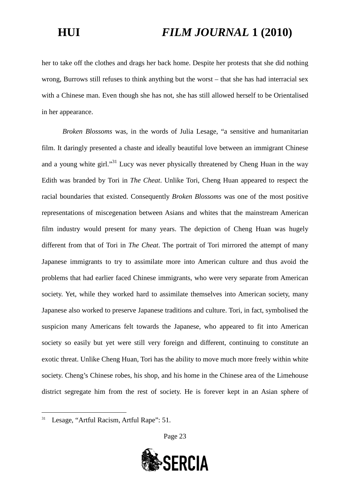her to take off the clothes and drags her back home. Despite her protests that she did nothing wrong, Burrows still refuses to think anything but the worst – that she has had interracial sex with a Chinese man. Even though she has not, she has still allowed herself to be Orientalised in her appearance.

*Broken Blossoms* was, in the words of Julia Lesage, "a sensitive and humanitarian film. It daringly presented a chaste and ideally beautiful love between an immigrant Chinese and a young white girl."<sup>[31](#page-22-0)</sup> Lucy was never physically threatened by Cheng Huan in the way Edith was branded by Tori in *The Cheat*. Unlike Tori, Cheng Huan appeared to respect the racial boundaries that existed. Consequently *Broken Blossoms* was one of the most positive representations of miscegenation between Asians and whites that the mainstream American film industry would present for many years. The depiction of Cheng Huan was hugely different from that of Tori in *The Cheat*. The portrait of Tori mirrored the attempt of many Japanese immigrants to try to assimilate more into American culture and thus avoid the problems that had earlier faced Chinese immigrants, who were very separate from American society. Yet, while they worked hard to assimilate themselves into American society, many Japanese also worked to preserve Japanese traditions and culture. Tori, in fact, symbolised the suspicion many Americans felt towards the Japanese, who appeared to fit into American society so easily but yet were still very foreign and different, continuing to constitute an exotic threat. Unlike Cheng Huan, Tori has the ability to move much more freely within white society. Cheng's Chinese robes, his shop, and his home in the Chinese area of the Limehouse district segregate him from the rest of society. He is forever kept in an Asian sphere of



<span id="page-22-0"></span><sup>&</sup>lt;sup>31</sup> Lesage, "Artful Racism, Artful Rape": 51.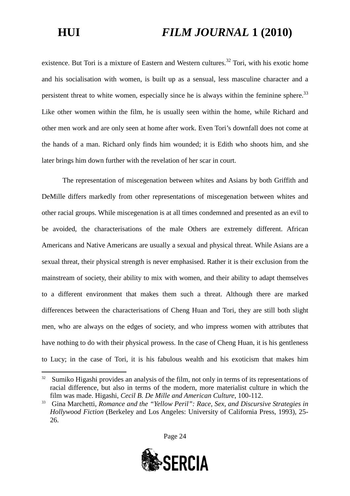existence. But Tori is a mixture of Eastern and Western cultures.<sup>[32](#page-23-0)</sup> Tori, with his exotic home and his socialisation with women, is built up as a sensual, less masculine character and a persistent threat to white women, especially since he is always within the feminine sphere. $33$ Like other women within the film, he is usually seen within the home, while Richard and other men work and are only seen at home after work. Even Tori's downfall does not come at the hands of a man. Richard only finds him wounded; it is Edith who shoots him, and she later brings him down further with the revelation of her scar in court.

The representation of miscegenation between whites and Asians by both Griffith and DeMille differs markedly from other representations of miscegenation between whites and other racial groups. While miscegenation is at all times condemned and presented as an evil to be avoided, the characterisations of the male Others are extremely different. African Americans and Native Americans are usually a sexual and physical threat. While Asians are a sexual threat, their physical strength is never emphasised. Rather it is their exclusion from the mainstream of society, their ability to mix with women, and their ability to adapt themselves to a different environment that makes them such a threat. Although there are marked differences between the characterisations of Cheng Huan and Tori, they are still both slight men, who are always on the edges of society, and who impress women with attributes that have nothing to do with their physical prowess. In the case of Cheng Huan, it is his gentleness to Lucy; in the case of Tori, it is his fabulous wealth and his exoticism that makes him

<span id="page-23-1"></span><sup>33</sup> Gina Marchetti, *Romance and the "Yellow Peril": Race, Sex, and Discursive Strategies in Hollywood Fiction* (Berkeley and Los Angeles: University of California Press, 1993), 25- 26.





<span id="page-23-0"></span> $32$  Sumiko Higashi provides an analysis of the film, not only in terms of its representations of racial difference, but also in terms of the modern, more materialist culture in which the film was made. Higashi, *Cecil B. De Mille and American Culture*, 100-112.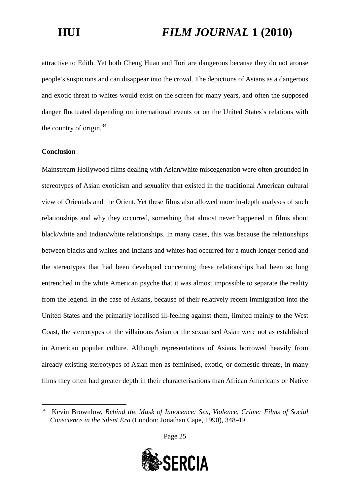attractive to Edith. Yet both Cheng Huan and Tori are dangerous because they do not arouse people's suspicions and can disappear into the crowd. The depictions of Asians as a dangerous and exotic threat to whites would exist on the screen for many years, and often the supposed danger fluctuated depending on international events or on the United States's relations with the country of origin. $34$ 

### **Conclusion**

Mainstream Hollywood films dealing with Asian/white miscegenation were often grounded in stereotypes of Asian exoticism and sexuality that existed in the traditional American cultural view of Orientals and the Orient. Yet these films also allowed more in-depth analyses of such relationships and why they occurred, something that almost never happened in films about black/white and Indian/white relationships. In many cases, this was because the relationships between blacks and whites and Indians and whites had occurred for a much longer period and the stereotypes that had been developed concerning these relationships had been so long entrenched in the white American psyche that it was almost impossible to separate the reality from the legend. In the case of Asians, because of their relatively recent immigration into the United States and the primarily localised ill-feeling against them, limited mainly to the West Coast, the stereotypes of the villainous Asian or the sexualised Asian were not as established in American popular culture. Although representations of Asians borrowed heavily from already existing stereotypes of Asian men as feminised, exotic, or domestic threats, in many films they often had greater depth in their characterisations than African Americans or Native

<span id="page-24-0"></span><sup>34</sup> Kevin Brownlow, *Behind the Mask of Innocence: Sex, Violence, Crime: Films of Social Conscience in the Silent Era* (London: Jonathan Cape, 1990), 348-49.



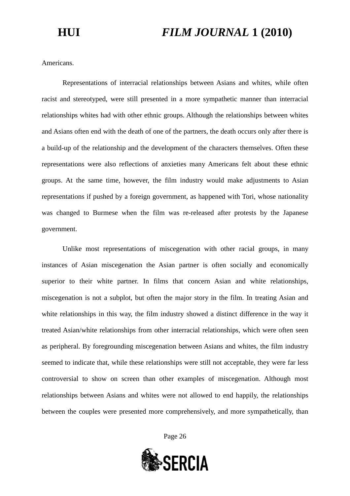Americans.

Representations of interracial relationships between Asians and whites, while often racist and stereotyped, were still presented in a more sympathetic manner than interracial relationships whites had with other ethnic groups. Although the relationships between whites and Asians often end with the death of one of the partners, the death occurs only after there is a build-up of the relationship and the development of the characters themselves. Often these representations were also reflections of anxieties many Americans felt about these ethnic groups. At the same time, however, the film industry would make adjustments to Asian representations if pushed by a foreign government, as happened with Tori, whose nationality was changed to Burmese when the film was re-released after protests by the Japanese government.

Unlike most representations of miscegenation with other racial groups, in many instances of Asian miscegenation the Asian partner is often socially and economically superior to their white partner. In films that concern Asian and white relationships, miscegenation is not a subplot, but often the major story in the film. In treating Asian and white relationships in this way, the film industry showed a distinct difference in the way it treated Asian/white relationships from other interracial relationships, which were often seen as peripheral. By foregrounding miscegenation between Asians and whites, the film industry seemed to indicate that, while these relationships were still not acceptable, they were far less controversial to show on screen than other examples of miscegenation. Although most relationships between Asians and whites were not allowed to end happily, the relationships between the couples were presented more comprehensively, and more sympathetically, than

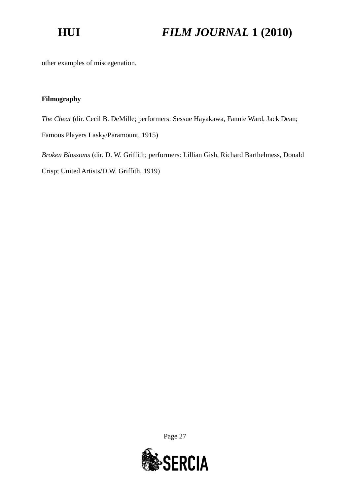other examples of miscegenation.

### **Filmography**

*The Cheat* (dir. Cecil B. DeMille; performers: Sessue Hayakawa, Fannie Ward, Jack Dean;

Famous Players Lasky/Paramount, 1915)

*Broken Blossoms* (dir. D. W. Griffith; performers: Lillian Gish, Richard Barthelmess, Donald Crisp; United Artists/D.W. Griffith, 1919)